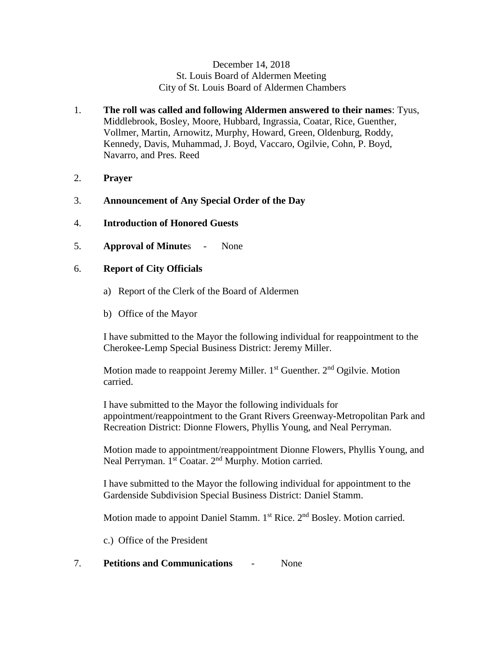## December 14, 2018 St. Louis Board of Aldermen Meeting City of St. Louis Board of Aldermen Chambers

- 1. **The roll was called and following Aldermen answered to their names**: Tyus, Middlebrook, Bosley, Moore, Hubbard, Ingrassia, Coatar, Rice, Guenther, Vollmer, Martin, Arnowitz, Murphy, Howard, Green, Oldenburg, Roddy, Kennedy, Davis, Muhammad, J. Boyd, Vaccaro, Ogilvie, Cohn, P. Boyd, Navarro, and Pres. Reed
- 2. **Prayer**
- 3. **Announcement of Any Special Order of the Day**
- 4. **Introduction of Honored Guests**
- 5. **Approval of Minute**s None

# 6. **Report of City Officials**

- a) Report of the Clerk of the Board of Aldermen
- b) Office of the Mayor

I have submitted to the Mayor the following individual for reappointment to the Cherokee-Lemp Special Business District: Jeremy Miller.

Motion made to reappoint Jeremy Miller.  $1<sup>st</sup>$  Guenther.  $2<sup>nd</sup>$  Ogilvie. Motion carried.

I have submitted to the Mayor the following individuals for appointment/reappointment to the Grant Rivers Greenway-Metropolitan Park and Recreation District: Dionne Flowers, Phyllis Young, and Neal Perryman.

Motion made to appointment/reappointment Dionne Flowers, Phyllis Young, and Neal Perryman. 1<sup>st</sup> Coatar. 2<sup>nd</sup> Murphy. Motion carried.

I have submitted to the Mayor the following individual for appointment to the Gardenside Subdivision Special Business District: Daniel Stamm.

Motion made to appoint Daniel Stamm. 1<sup>st</sup> Rice. 2<sup>nd</sup> Bosley. Motion carried.

c.) Office of the President

### 7. **Petitions and Communications** - None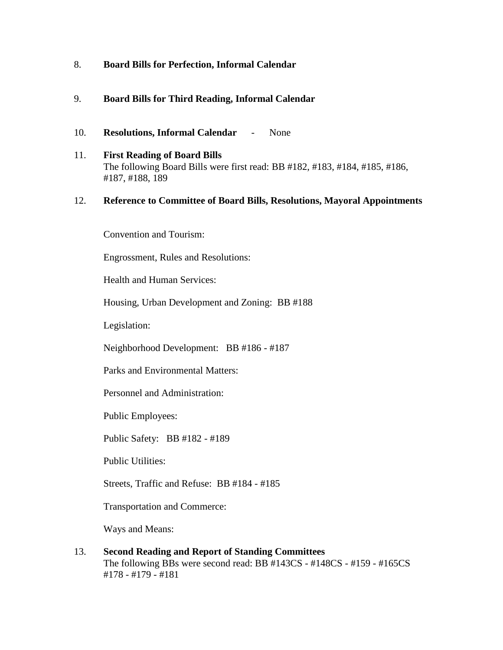### 8. **Board Bills for Perfection, Informal Calendar**

# 9. **Board Bills for Third Reading, Informal Calendar**

- 10. **Resolutions, Informal Calendar** None
- 11. **First Reading of Board Bills** The following Board Bills were first read: BB #182, #183, #184, #185, #186, #187, #188, 189

### 12. **Reference to Committee of Board Bills, Resolutions, Mayoral Appointments**

Convention and Tourism:

Engrossment, Rules and Resolutions:

Health and Human Services:

Housing, Urban Development and Zoning: BB #188

Legislation:

Neighborhood Development: BB #186 - #187

Parks and Environmental Matters:

Personnel and Administration:

Public Employees:

Public Safety: BB #182 - #189

Public Utilities:

Streets, Traffic and Refuse: BB #184 - #185

Transportation and Commerce:

Ways and Means:

13. **Second Reading and Report of Standing Committees** The following BBs were second read: BB #143CS - #148CS - #159 - #165CS #178 - #179 - #181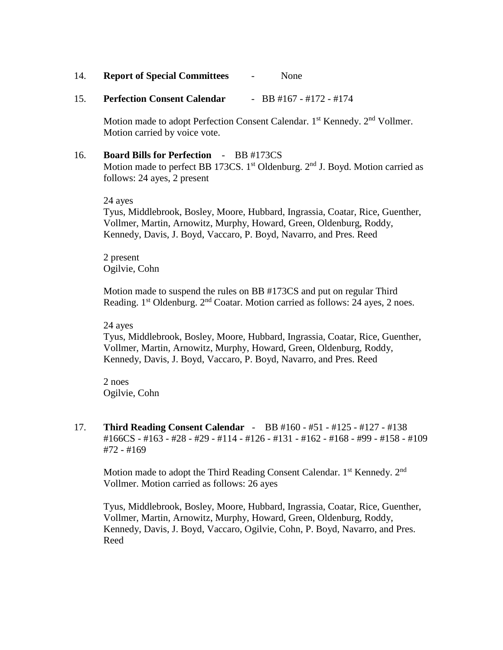- 14. **Report of Special Committees** None
- 15. **Perfection Consent Calendar** BB #167 #172 #174

Motion made to adopt Perfection Consent Calendar. 1<sup>st</sup> Kennedy. 2<sup>nd</sup> Vollmer. Motion carried by voice vote.

16. **Board Bills for Perfection** - BB #173CS Motion made to perfect BB 173CS.  $1<sup>st</sup>$  Oldenburg.  $2<sup>nd</sup>$  J. Boyd. Motion carried as follows: 24 ayes, 2 present

24 ayes Tyus, Middlebrook, Bosley, Moore, Hubbard, Ingrassia, Coatar, Rice, Guenther, Vollmer, Martin, Arnowitz, Murphy, Howard, Green, Oldenburg, Roddy, Kennedy, Davis, J. Boyd, Vaccaro, P. Boyd, Navarro, and Pres. Reed

2 present Ogilvie, Cohn

Motion made to suspend the rules on BB #173CS and put on regular Third Reading.  $1<sup>st</sup>$  Oldenburg.  $2<sup>nd</sup>$  Coatar. Motion carried as follows: 24 ayes, 2 noes.

24 ayes

Tyus, Middlebrook, Bosley, Moore, Hubbard, Ingrassia, Coatar, Rice, Guenther, Vollmer, Martin, Arnowitz, Murphy, Howard, Green, Oldenburg, Roddy, Kennedy, Davis, J. Boyd, Vaccaro, P. Boyd, Navarro, and Pres. Reed

2 noes Ogilvie, Cohn

17. **Third Reading Consent Calendar** - BB #160 - #51 - #125 - #127 - #138 #166CS - #163 - #28 - #29 - #114 - #126 - #131 - #162 - #168 - #99 - #158 - #109 #72 - #169

Motion made to adopt the Third Reading Consent Calendar. 1<sup>st</sup> Kennedy. 2<sup>nd</sup> Vollmer. Motion carried as follows: 26 ayes

Tyus, Middlebrook, Bosley, Moore, Hubbard, Ingrassia, Coatar, Rice, Guenther, Vollmer, Martin, Arnowitz, Murphy, Howard, Green, Oldenburg, Roddy, Kennedy, Davis, J. Boyd, Vaccaro, Ogilvie, Cohn, P. Boyd, Navarro, and Pres. Reed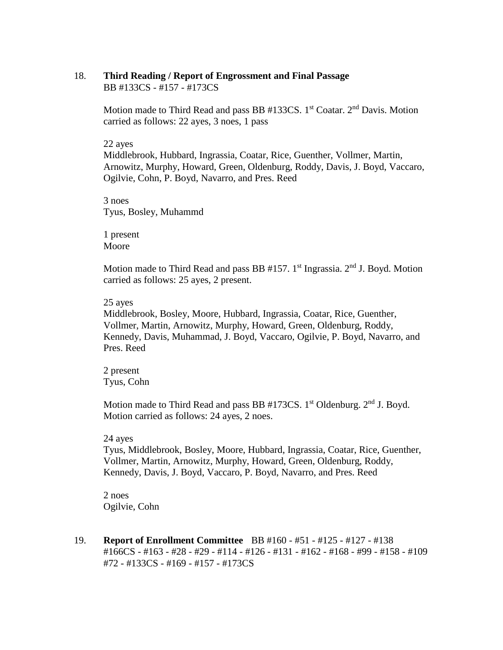#### 18. **Third Reading / Report of Engrossment and Final Passage** BB #133CS - #157 - #173CS

Motion made to Third Read and pass BB #133CS. 1<sup>st</sup> Coatar. 2<sup>nd</sup> Davis. Motion carried as follows: 22 ayes, 3 noes, 1 pass

#### 22 ayes

Middlebrook, Hubbard, Ingrassia, Coatar, Rice, Guenther, Vollmer, Martin, Arnowitz, Murphy, Howard, Green, Oldenburg, Roddy, Davis, J. Boyd, Vaccaro, Ogilvie, Cohn, P. Boyd, Navarro, and Pres. Reed

3 noes Tyus, Bosley, Muhammd

1 present Moore

Motion made to Third Read and pass BB #157. 1<sup>st</sup> Ingrassia. 2<sup>nd</sup> J. Boyd. Motion carried as follows: 25 ayes, 2 present.

### 25 ayes

Middlebrook, Bosley, Moore, Hubbard, Ingrassia, Coatar, Rice, Guenther, Vollmer, Martin, Arnowitz, Murphy, Howard, Green, Oldenburg, Roddy, Kennedy, Davis, Muhammad, J. Boyd, Vaccaro, Ogilvie, P. Boyd, Navarro, and Pres. Reed

2 present Tyus, Cohn

Motion made to Third Read and pass BB  $#173CS$ . 1<sup>st</sup> Oldenburg.  $2<sup>nd</sup>$  J. Boyd. Motion carried as follows: 24 ayes, 2 noes.

### 24 ayes

Tyus, Middlebrook, Bosley, Moore, Hubbard, Ingrassia, Coatar, Rice, Guenther, Vollmer, Martin, Arnowitz, Murphy, Howard, Green, Oldenburg, Roddy, Kennedy, Davis, J. Boyd, Vaccaro, P. Boyd, Navarro, and Pres. Reed

2 noes Ogilvie, Cohn

19. **Report of Enrollment Committee** BB #160 - #51 - #125 - #127 - #138 #166CS - #163 - #28 - #29 - #114 - #126 - #131 - #162 - #168 - #99 - #158 - #109 #72 - #133CS - #169 - #157 - #173CS